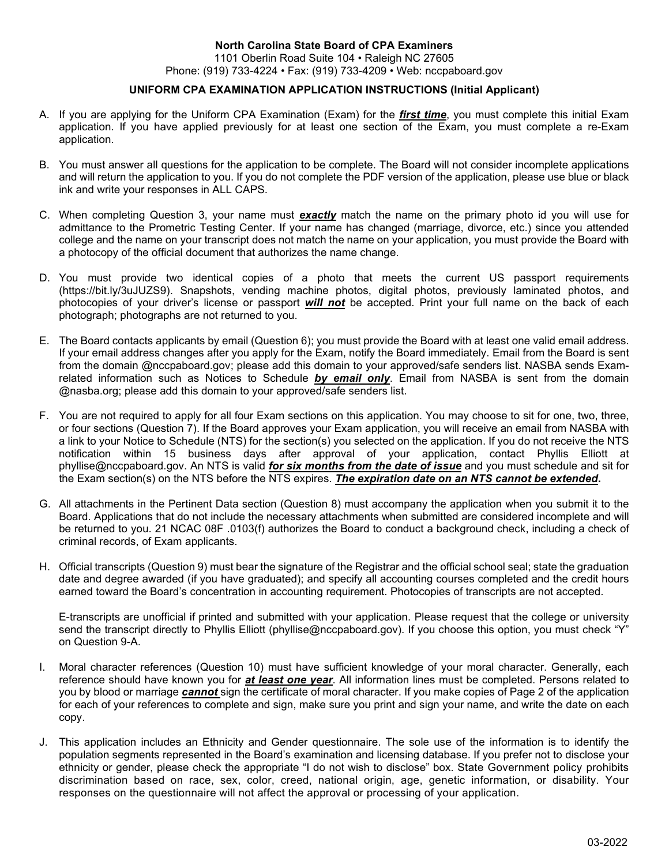### **North Carolina State Board of CPA Examiners** 1101 Oberlin Road Suite 104 • Raleigh NC 27605

Phone: (919) 733-4224 • Fax: (919) 733-4209 • Web: nccpaboard.gov

## **UNIFORM CPA EXAMINATION APPLICATION INSTRUCTIONS (Initial Applicant)**

- A. If you are applying for the Uniform CPA Examination (Exam) for the *first time*, you must complete this initial Exam application. If you have applied previously for at least one section of the Exam, you must complete a re-Exam application.
- B. You must answer all questions for the application to be complete. The Board will not consider incomplete applications and will return the application to you. If you do not complete the PDF version of the application, please use blue or black ink and write your responses in ALL CAPS.
- C. When completing Question 3, your name must *exactly* match the name on the primary photo id you will use for admittance to the Prometric Testing Center. If your name has changed (marriage, divorce, etc.) since you attended college and the name on your transcript does not match the name on your application, you must provide the Board with a photocopy of the official document that authorizes the name change.
- D. You must provide two identical copies of a photo that meets the current US passport requirements (https://bit.ly/3uJUZS9). Snapshots, vending machine photos, digital photos, previously laminated photos, and photocopies of your driver's license or passport *will not* be accepted. Print your full name on the back of each photograph; photographs are not returned to you.
- E. The Board contacts applicants by email (Question 6); you must provide the Board with at least one valid email address. If your email address changes after you apply for the Exam, notify the Board immediately. Email from the Board is sent from the domain @nccpaboard.gov; please add this domain to your approved/safe senders list. NASBA sends Examrelated information such as Notices to Schedule *by email only*. Email from NASBA is sent from the domain @nasba.org; please add this domain to your approved/safe senders list.
- F. You are not required to apply for all four Exam sections on this application. You may choose to sit for one, two, three, or four sections (Question 7). If the Board approves your Exam application, you will receive an email from NASBA with a link to your Notice to Schedule (NTS) for the section(s) you selected on the application. If you do not receive the NTS notification within 15 business days after approval of your application, contact Phyllis Elliott at phyllise@nccpaboard.gov. An NTS is valid *for six months from the date of issue* and you must schedule and sit for the Exam section(s) on the NTS before the NTS expires. *The expiration date on an NTS cannot be extended***.**
- G. All attachments in the Pertinent Data section (Question 8) must accompany the application when you submit it to the Board. Applications that do not include the necessary attachments when submitted are considered incomplete and will be returned to you. 21 NCAC 08F .0103(f) authorizes the Board to conduct a background check, including a check of criminal records, of Exam applicants.
- H. Official transcripts (Question 9) must bear the signature of the Registrar and the official school seal; state the graduation date and degree awarded (if you have graduated); and specify all accounting courses completed and the credit hours earned toward the Board's concentration in accounting requirement. Photocopies of transcripts are not accepted.

E-transcripts are unofficial if printed and submitted with your application. Please request that the college or university send the transcript directly to Phyllis Elliott (phyllise@nccpaboard.gov). If you choose this option, you must check "Y" on Question 9-A.

- I. Moral character references (Question 10) must have sufficient knowledge of your moral character. Generally, each reference should have known you for *at least one year*. All information lines must be completed. Persons related to you by blood or marriage *cannot* sign the certificate of moral character. If you make copies of Page 2 of the application for each of your references to complete and sign, make sure you print and sign your name, and write the date on each copy.
- J. This application includes an Ethnicity and Gender questionnaire. The sole use of the information is to identify the population segments represented in the Board's examination and licensing database. If you prefer not to disclose your ethnicity or gender, please check the appropriate "I do not wish to disclose" box. State Government policy prohibits discrimination based on race, sex, color, creed, national origin, age, genetic information, or disability. Your responses on the questionnaire will not affect the approval or processing of your application.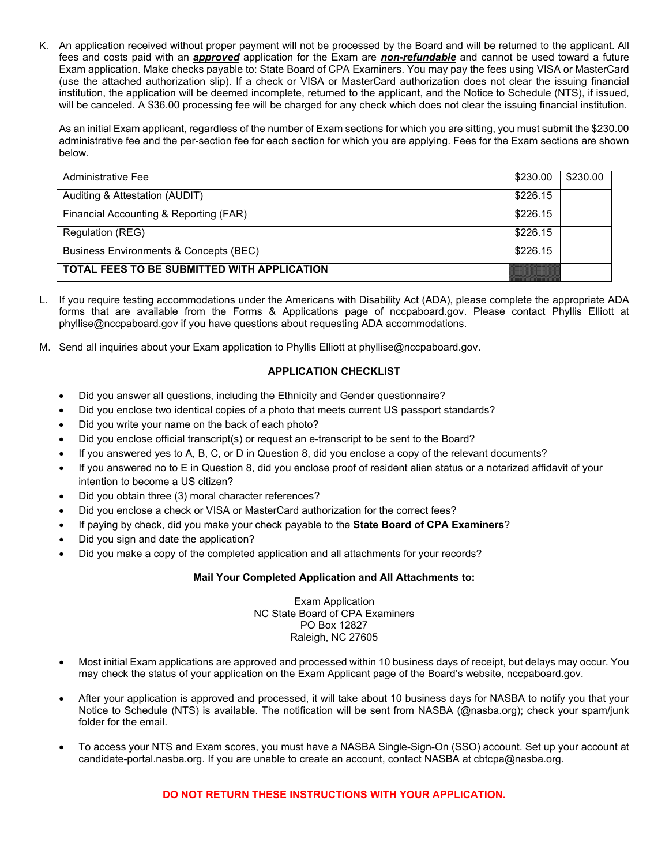K. An application received without proper payment will not be processed by the Board and will be returned to the applicant. All fees and costs paid with an *approved* application for the Exam are *non-refundable* and cannot be used toward a future Exam application. Make checks payable to: State Board of CPA Examiners. You may pay the fees using VISA or MasterCard (use the attached authorization slip). If a check or VISA or MasterCard authorization does not clear the issuing financial institution, the application will be deemed incomplete, returned to the applicant, and the Notice to Schedule (NTS), if issued, will be canceled. A \$36.00 processing fee will be charged for any check which does not clear the issuing financial institution.

As an initial Exam applicant, regardless of the number of Exam sections for which you are sitting, you must submit the \$230.00 administrative fee and the per-section fee for each section for which you are applying. Fees for the Exam sections are shown below.

| <b>Administrative Fee</b>                   | \$230.00 | \$230.00 |
|---------------------------------------------|----------|----------|
| Auditing & Attestation (AUDIT)              | \$226.15 |          |
| Financial Accounting & Reporting (FAR)      | \$226.15 |          |
| <b>Regulation (REG)</b>                     | \$226.15 |          |
| Business Environments & Concepts (BEC)      | \$226.15 |          |
| TOTAL FEES TO BE SUBMITTED WITH APPLICATION |          |          |

- L. If you require testing accommodations under the Americans with Disability Act (ADA), please complete the appropriate ADA forms that are available from the Forms & Applications page of nccpaboard.gov. Please contact Phyllis Elliott at phyllise@nccpaboard.gov if you have questions about requesting ADA accommodations.
- M. Send all inquiries about your Exam application to Phyllis Elliott at phyllise@nccpaboard.gov.

## **APPLICATION CHECKLIST**

- Did you answer all questions, including the Ethnicity and Gender questionnaire?
- Did you enclose two identical copies of a photo that meets current US passport standards?
- Did you write your name on the back of each photo?
- Did you enclose official transcript(s) or request an e-transcript to be sent to the Board?
- If you answered yes to A, B, C, or D in Question 8, did you enclose a copy of the relevant documents?
- If you answered no to E in Question 8, did you enclose proof of resident alien status or a notarized affidavit of your intention to become a US citizen?
- Did you obtain three (3) moral character references?
- Did you enclose a check or VISA or MasterCard authorization for the correct fees?
- If paying by check, did you make your check payable to the **State Board of CPA Examiners**?
- Did you sign and date the application?
- Did you make a copy of the completed application and all attachments for your records?

## **Mail Your Completed Application and All Attachments to:**

Exam Application NC State Board of CPA Examiners PO Box 12827 Raleigh, NC 27605

- Most initial Exam applications are approved and processed within 10 business days of receipt, but delays may occur. You may check the status of your application on the Exam Applicant page of the Board's website, nccpaboard.gov.
- After your application is approved and processed, it will take about 10 business days for NASBA to notify you that your Notice to Schedule (NTS) is available. The notification will be sent from NASBA (@nasba.org); check your spam/junk folder for the email.
- To access your NTS and Exam scores, you must have a NASBA Single-Sign-On (SSO) account. Set up your account at candidate-portal.nasba.org. If you are unable to create an account, contact NASBA at cbtcpa@nasba.org.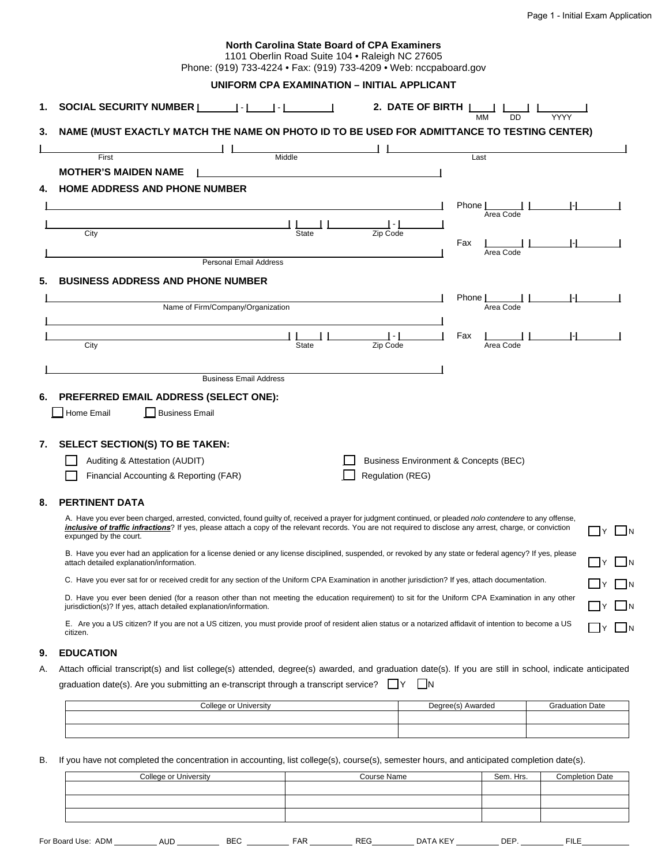|    | <b>North Carolina State Board of CPA Examiners</b><br>1101 Oberlin Road Suite 104 . Raleigh NC 27605<br>Phone: (919) 733-4224 • Fax: (919) 733-4209 • Web: nccpaboard.gov                                                                                                                                                                                 |                                                   |  |  |  |
|----|-----------------------------------------------------------------------------------------------------------------------------------------------------------------------------------------------------------------------------------------------------------------------------------------------------------------------------------------------------------|---------------------------------------------------|--|--|--|
|    | UNIFORM CPA EXAMINATION - INITIAL APPLICANT                                                                                                                                                                                                                                                                                                               |                                                   |  |  |  |
| 1. |                                                                                                                                                                                                                                                                                                                                                           | 2. DATE OF BIRTH $\frac{1}{M}$<br>$\overline{DD}$ |  |  |  |
| 3. | NAME (MUST EXACTLY MATCH THE NAME ON PHOTO ID TO BE USED FOR ADMITTANCE TO TESTING CENTER)                                                                                                                                                                                                                                                                |                                                   |  |  |  |
|    |                                                                                                                                                                                                                                                                                                                                                           |                                                   |  |  |  |
|    | Middle<br>First<br><b>MOTHER'S MAIDEN NAME</b>                                                                                                                                                                                                                                                                                                            | Last                                              |  |  |  |
| 4. | <b>HOME ADDRESS AND PHONE NUMBER</b>                                                                                                                                                                                                                                                                                                                      |                                                   |  |  |  |
|    |                                                                                                                                                                                                                                                                                                                                                           | Phone                                             |  |  |  |
|    |                                                                                                                                                                                                                                                                                                                                                           | Area Code                                         |  |  |  |
|    | City<br><b>State</b>                                                                                                                                                                                                                                                                                                                                      | Zip Code                                          |  |  |  |
|    |                                                                                                                                                                                                                                                                                                                                                           | Fax<br>Area Code                                  |  |  |  |
|    | <b>Personal Email Address</b>                                                                                                                                                                                                                                                                                                                             |                                                   |  |  |  |
|    | <b>BUSINESS ADDRESS AND PHONE NUMBER</b>                                                                                                                                                                                                                                                                                                                  |                                                   |  |  |  |
|    |                                                                                                                                                                                                                                                                                                                                                           | Phone [                                           |  |  |  |
|    | Area Code<br>Name of Firm/Company/Organization                                                                                                                                                                                                                                                                                                            |                                                   |  |  |  |
|    |                                                                                                                                                                                                                                                                                                                                                           | Fax                                               |  |  |  |
|    | City<br>State                                                                                                                                                                                                                                                                                                                                             | Zip Code<br>Area Code                             |  |  |  |
|    |                                                                                                                                                                                                                                                                                                                                                           |                                                   |  |  |  |
|    | <b>Business Email Address</b>                                                                                                                                                                                                                                                                                                                             |                                                   |  |  |  |
| 6. | PREFERRED EMAIL ADDRESS (SELECT ONE):                                                                                                                                                                                                                                                                                                                     |                                                   |  |  |  |
|    | Business Email<br>Home Email                                                                                                                                                                                                                                                                                                                              |                                                   |  |  |  |
|    |                                                                                                                                                                                                                                                                                                                                                           |                                                   |  |  |  |
| 7. | SELECT SECTION(S) TO BE TAKEN:                                                                                                                                                                                                                                                                                                                            |                                                   |  |  |  |
|    | Auditing & Attestation (AUDIT)                                                                                                                                                                                                                                                                                                                            | Business Environment & Concepts (BEC)             |  |  |  |
|    | Financial Accounting & Reporting (FAR)                                                                                                                                                                                                                                                                                                                    | Regulation (REG)                                  |  |  |  |
|    |                                                                                                                                                                                                                                                                                                                                                           |                                                   |  |  |  |
| 8. | <b>PERTINENT DATA</b>                                                                                                                                                                                                                                                                                                                                     |                                                   |  |  |  |
|    | A. Have you ever been charged, arrested, convicted, found guilty of, received a prayer for judgment continued, or pleaded nolo contendere to any offense,<br><i>inclusive of traffic infractions</i> ? If yes, please attach a copy of the relevant records. You are not required to disclose any arrest, charge, or conviction<br>expunged by the court. | ]Y □N                                             |  |  |  |
|    | B. Have you ever had an application for a license denied or any license disciplined, suspended, or revoked by any state or federal agency? If yes, please<br>$JY$ $\Box$ N<br>attach detailed explanation/information.                                                                                                                                    |                                                   |  |  |  |
|    | C. Have you ever sat for or received credit for any section of the Uniform CPA Examination in another jurisdiction? If yes, attach documentation.<br>$\square$ y $\square$ n                                                                                                                                                                              |                                                   |  |  |  |
|    | D. Have you ever been denied (for a reason other than not meeting the education requirement) to sit for the Uniform CPA Examination in any other<br>$\exists$ Y $\Box$ N<br>jurisdiction(s)? If yes, attach detailed explanation/information.                                                                                                             |                                                   |  |  |  |
|    | E. Are you a US citizen? If you are not a US citizen, you must provide proof of resident alien status or a notarized affidavit of intention to become a US<br>citizen.                                                                                                                                                                                    | □y □n                                             |  |  |  |
|    | ---------                                                                                                                                                                                                                                                                                                                                                 |                                                   |  |  |  |

## **9. EDUCATION**

A. Attach official transcript(s) and list college(s) attended, degree(s) awarded, and graduation date(s). If you are still in school, indicate anticipated graduation date(s). Are you submitting an e-transcript through a transcript service?  $\Box Y$   $\Box N$ 

| College or l<br>University | Degree(s)<br>Awarded | <b>Graduation Date</b> |
|----------------------------|----------------------|------------------------|
|                            |                      |                        |
|                            |                      |                        |
|                            |                      |                        |

B. If you have not completed the concentration in accounting, list college(s), course(s), semester hours, and anticipated completion date(s).

| College or University | Course Name | Sem. Hrs. | <b>Completion Date</b> |
|-----------------------|-------------|-----------|------------------------|
|                       |             |           |                        |
|                       |             |           |                        |
|                       |             |           |                        |
|                       |             |           |                        |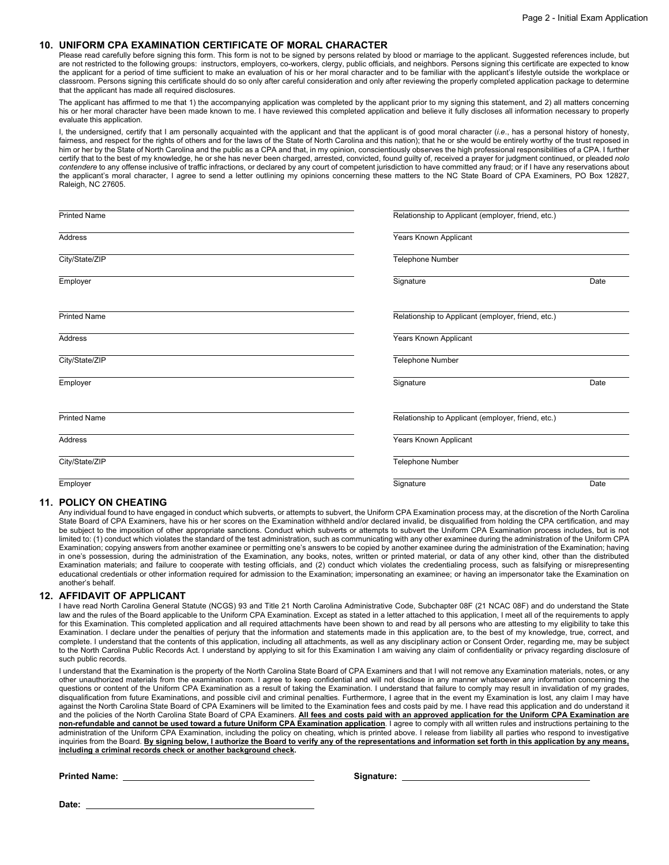#### **10. UNIFORM CPA EXAMINATION CERTIFICATE OF MORAL CHARACTER**

Please read carefully before signing this form. This form is not to be signed by persons related by blood or marriage to the applicant. Suggested references include, but are not restricted to the following groups: instructors, employers, co-workers, clergy, public officials, and neighbors. Persons signing this certificate are expected to know the applicant for a period of time sufficient to make an evaluation of his or her moral character and to be familiar with the applicant's lifestyle outside the workplace or classroom. Persons signing this certificate should do so only after careful consideration and only after reviewing the properly completed application package to determine that the applicant has made all required disclosures.

The applicant has affirmed to me that 1) the accompanying application was completed by the applicant prior to my signing this statement, and 2) all matters concerning his or her moral character have been made known to me. I have reviewed this completed application and believe it fully discloses all information necessary to properly evaluate this application.

I, the undersigned, certify that I am personally acquainted with the applicant and that the applicant is of good moral character (*i.e*., has a personal history of honesty, fairness, and respect for the rights of others and for the laws of the State of North Carolina and this nation); that he or she would be entirely worthy of the trust reposed in him or her by the State of North Carolina and the public as a CPA and that, in my opinion, conscientiously observes the high professional responsibilities of a CPA. I further certify that to the best of my knowledge, he or she has never been charged, arrested, convicted, found guilty of, received a prayer for judgment continued, or pleaded *nolo contendere* to any offense inclusive of traffic infractions, or declared by any court of competent jurisdiction to have committed any fraud; or if I have any reservations about the applicant's moral character, I agree to send a letter outlining my opinions concerning these matters to the NC State Board of CPA Examiners, PO Box 12827, Raleigh, NC 27605.

| <b>Printed Name</b> |                                                    | Relationship to Applicant (employer, friend, etc.) |  |
|---------------------|----------------------------------------------------|----------------------------------------------------|--|
| Address             | Years Known Applicant                              |                                                    |  |
| City/State/ZIP      | Telephone Number                                   |                                                    |  |
| Employer            | Signature                                          | Date                                               |  |
| <b>Printed Name</b> | Relationship to Applicant (employer, friend, etc.) |                                                    |  |
| Address             | Years Known Applicant                              |                                                    |  |
| City/State/ZIP      | <b>Telephone Number</b>                            |                                                    |  |
| Employer            | Signature                                          | Date                                               |  |
| <b>Printed Name</b> | Relationship to Applicant (employer, friend, etc.) |                                                    |  |
| Address             | Years Known Applicant                              |                                                    |  |
| City/State/ZIP      | Telephone Number                                   |                                                    |  |
| Employer            | Signature                                          | Date                                               |  |

#### **11. POLICY ON CHEATING**

Any individual found to have engaged in conduct which subverts, or attempts to subvert, the Uniform CPA Examination process may, at the discretion of the North Carolina State Board of CPA Examiners, have his or her scores on the Examination withheld and/or declared invalid, be disqualified from holding the CPA certification, and may be subject to the imposition of other appropriate sanctions. Conduct which subverts or attempts to subvert the Uniform CPA Examination process includes, but is not limited to: (1) conduct which violates the standard of the test administration, such as communicating with any other examinee during the administration of the Uniform CPA Examination; copying answers from another examinee or permitting one's answers to be copied by another examinee during the administration of the Examination; having in one's possession, during the administration of the Examination, any books, notes, written or printed material, or data of any other kind, other than the distributed Examination materials; and failure to cooperate with testing officials, and (2) conduct which violates the credentialing process, such as falsifying or misrepresenting educational credentials or other information required for admission to the Examination; impersonating an examinee; or having an impersonator take the Examination on another's behalf.

#### **12. AFFIDAVIT OF APPLICANT**

have read North Carolina General Statute (NCGS) 93 and Title 21 North Carolina Administrative Code, Subchapter 08F (21 NCAC 08F) and do understand the State law and the rules of the Board applicable to the Uniform CPA Examination. Except as stated in a letter attached to this application, I meet all of the requirements to apply for this Examination. This completed application and all required attachments have been shown to and read by all persons who are attesting to my eligibility to take this Examination. I declare under the penalties of perjury that the information and statements made in this application are, to the best of my knowledge, true, correct, and complete. I understand that the contents of this application, including all attachments, as well as any disciplinary action or Consent Order, regarding me, may be subject to the North Carolina Public Records Act. I understand by applying to sit for this Examination I am waiving any claim of confidentiality or privacy regarding disclosure of such public records.

I understand that the Examination is the property of the North Carolina State Board of CPA Examiners and that I will not remove any Examination materials, notes, or any other unauthorized materials from the examination room. I agree to keep confidential and will not disclose in any manner whatsoever any information concerning the questions or content of the Uniform CPA Examination as a result of taking the Examination. I understand that failure to comply may result in invalidation of my grades, disqualification from future Examinations, and possible civil and criminal penalties. Furthermore, I agree that in the event my Examination is lost, any claim I may have against the North Carolina State Board of CPA Examiners will be limited to the Examination fees and costs paid by me. I have read this application and do understand it and the policies of the North Carolina State Board of CPA Examiners. **All fees and costs paid with an approved application for the Uniform CPA Examination are non-refundable and cannot be used toward a future Uniform CPA Examination application**. I agree to comply with all written rules and instructions pertaining to the administration of the Uniform CPA Examination, including the policy on cheating, which is printed above. I release from liability all parties who respond to investigative inquiries from the Board. **By signing below, I authorize the Board to verify any of the representations and information set forth in this application by any means, including a criminal records check or another background check.** 

**Printed Name: Signature:**

**Date:**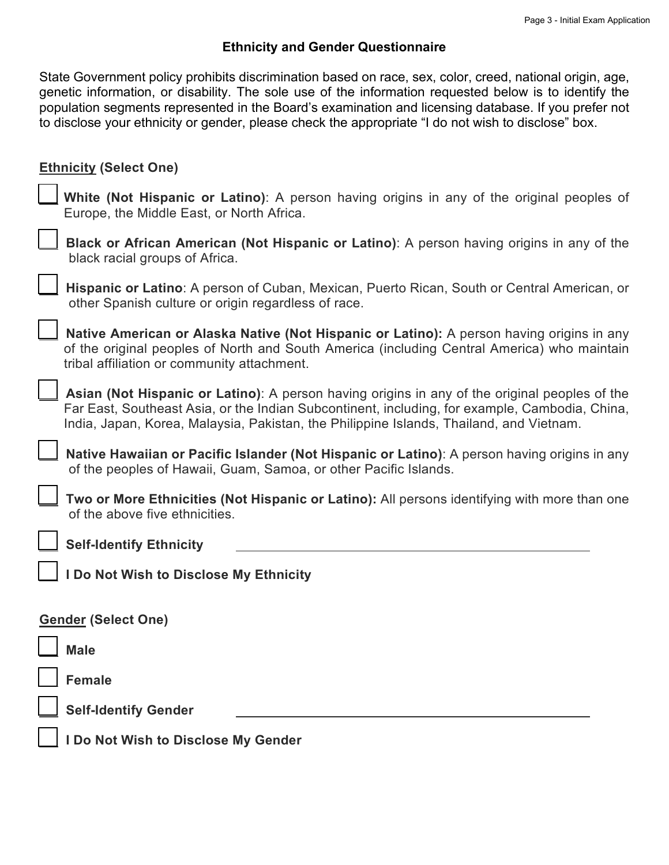# **Ethnicity and Gender Questionnaire**

State Government policy prohibits discrimination based on race, sex, color, creed, national origin, age, genetic information, or disability. The sole use of the information requested below is to identify the population segments represented in the Board's examination and licensing database. If you prefer not to disclose your ethnicity or gender, please check the appropriate "I do not wish to disclose" box.

| <b>Ethnicity (Select One)</b>                                                                                                                                                                                                                                                              |
|--------------------------------------------------------------------------------------------------------------------------------------------------------------------------------------------------------------------------------------------------------------------------------------------|
| White (Not Hispanic or Latino): A person having origins in any of the original peoples of<br>Europe, the Middle East, or North Africa.                                                                                                                                                     |
| Black or African American (Not Hispanic or Latino): A person having origins in any of the<br>black racial groups of Africa.                                                                                                                                                                |
| Hispanic or Latino: A person of Cuban, Mexican, Puerto Rican, South or Central American, or<br>other Spanish culture or origin regardless of race.                                                                                                                                         |
| Native American or Alaska Native (Not Hispanic or Latino): A person having origins in any<br>of the original peoples of North and South America (including Central America) who maintain<br>tribal affiliation or community attachment.                                                    |
| Asian (Not Hispanic or Latino): A person having origins in any of the original peoples of the<br>Far East, Southeast Asia, or the Indian Subcontinent, including, for example, Cambodia, China,<br>India, Japan, Korea, Malaysia, Pakistan, the Philippine Islands, Thailand, and Vietnam. |
| Native Hawaiian or Pacific Islander (Not Hispanic or Latino): A person having origins in any<br>of the peoples of Hawaii, Guam, Samoa, or other Pacific Islands.                                                                                                                           |
| Two or More Ethnicities (Not Hispanic or Latino): All persons identifying with more than one<br>of the above five ethnicities.                                                                                                                                                             |
| <b>Self-Identify Ethnicity</b>                                                                                                                                                                                                                                                             |
| I Do Not Wish to Disclose My Ethnicity                                                                                                                                                                                                                                                     |
| <b>Gender (Select One)</b>                                                                                                                                                                                                                                                                 |
| <b>Male</b>                                                                                                                                                                                                                                                                                |
| <b>Female</b>                                                                                                                                                                                                                                                                              |
| <b>Self-Identify Gender</b>                                                                                                                                                                                                                                                                |
| I Do Not Wish to Disclose My Gender                                                                                                                                                                                                                                                        |